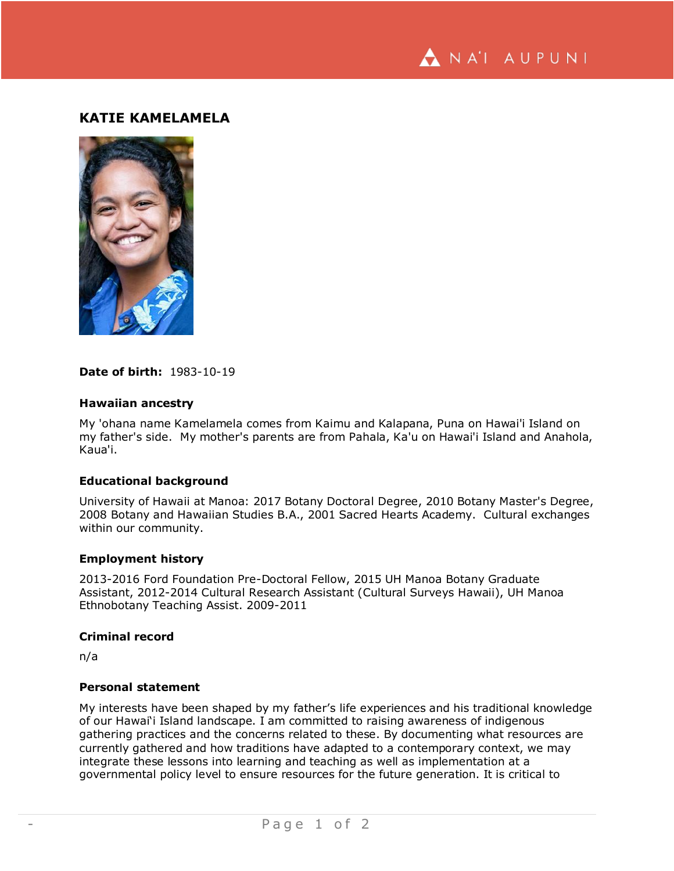NA'I AUPUNI

# **KATIE KAMELAMELA**



# **Date of birth:** 1983-10-19

# **Hawaiian ancestry**

My 'ohana name Kamelamela comes from Kaimu and Kalapana, Puna on Hawai'i Island on my father's side. My mother's parents are from Pahala, Ka'u on Hawai'i Island and Anahola, Kaua'i.

# **Educational background**

University of Hawaii at Manoa: 2017 Botany Doctoral Degree, 2010 Botany Master's Degree, 2008 Botany and Hawaiian Studies B.A., 2001 Sacred Hearts Academy. Cultural exchanges within our community.

#### **Employment history**

2013-2016 Ford Foundation Pre-Doctoral Fellow, 2015 UH Manoa Botany Graduate Assistant, 2012-2014 Cultural Research Assistant (Cultural Surveys Hawaii), UH Manoa Ethnobotany Teaching Assist. 2009-2011

# **Criminal record**

n/a

# **Personal statement**

My interests have been shaped by my father's life experiences and his traditional knowledge of our Hawai'i Island landscape. I am committed to raising awareness of indigenous gathering practices and the concerns related to these. By documenting what resources are currently gathered and how traditions have adapted to a contemporary context, we may integrate these lessons into learning and teaching as well as implementation at a governmental policy level to ensure resources for the future generation. It is critical to